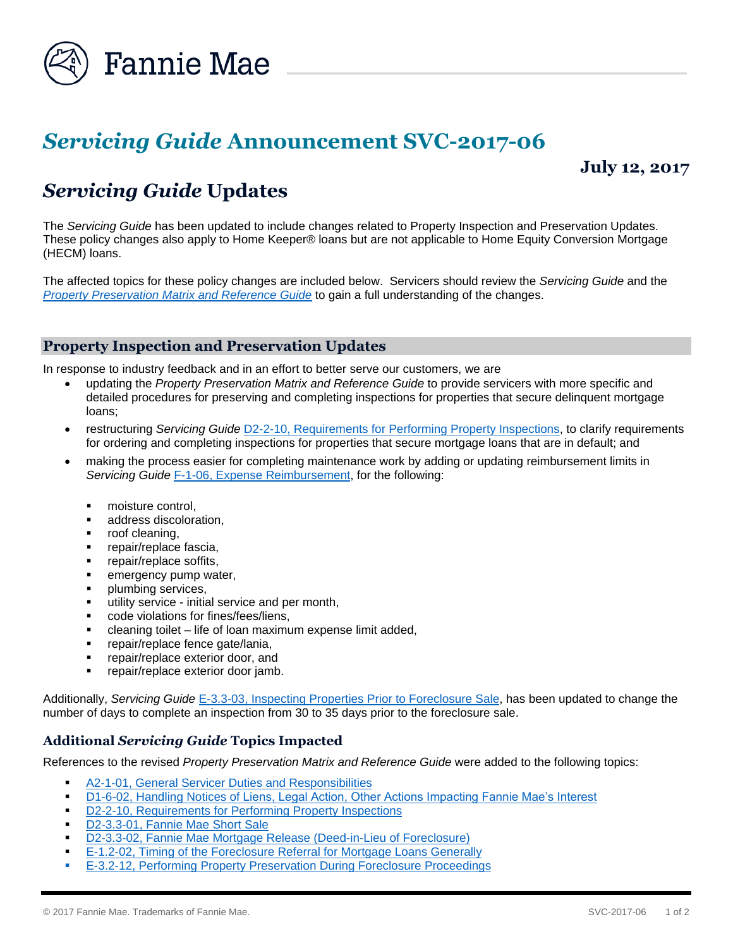

# *Servicing Guide* **Announcement SVC-2017-06**

**July 12, 2017**

## *Servicing Guide* **Updates**

The *Servicing Guide* has been updated to include changes related to Property Inspection and Preservation Updates. These policy changes also apply to Home Keeper® loans but are not applicable to Home Equity Conversion Mortgage (HECM) loans.

The affected topics for these policy changes are included below. Servicers should review the *Servicing Guide* and the *[Property Preservation Matrix and Reference Guide](https://www.fanniemae.com/content/tool/property-preservation-matrix.pdf)* to gain a full understanding of the changes.

#### **Property Inspection and Preservation Updates**

In response to industry feedback and in an effort to better serve our customers, we are

- updating the *Property Preservation Matrix and Reference Guide* to provide servicers with more specific and detailed procedures for preserving and completing inspections for properties that secure delinquent mortgage loans;
- restructuring *Servicing Guide* [D2-2-10, Requirements for Performing Property Inspections,](https://www.fanniemae.com/content/guide/svc071217.pdf#page=361) to clarify requirements for ordering and completing inspections for properties that secure mortgage loans that are in default; and
- making the process easier for completing maintenance work by adding or updating reimbursement limits in *Servicing Guide* [F-1-06, Expense Reimbursement,](https://www.fanniemae.com/content/guide/svc071217.pdf#page=629) for the following:
	- moisture control,
	- address discoloration,
	- roof cleaning,
	- repair/replace fascia,
	- repair/replace soffits,
	- emergency pump water,
	- plumbing services,
	- **utility service initial service and per month,**
	- **Code violations for fines/fees/liens,**
	- cleaning toilet life of loan maximum expense limit added,
	- **•** repair/replace fence gate/lania,
	- repair/replace exterior door, and
	- repair/replace exterior door jamb.

Additionally, *Servicing Guide* [E-3.3-03, Inspecting Properties Prior to Foreclosure Sale,](https://www.fanniemae.com/content/guide/svc071217.pdf#page=533) has been updated to change the number of days to complete an inspection from 30 to 35 days prior to the foreclosure sale.

### **Additional** *Servicing Guide* **Topics Impacted**

References to the revised *Property Preservation Matrix and Reference Guide* were added to the following topics:

- **[A2-1-01, General Servicer Duties and Responsibilities](https://www.fanniemae.com/content/guide/svc071217.pdf#page=84)**
- [D1-6-02, Handling Notices of Liens, Legal Action, Other Actions Impacting Fannie Mae's Interest](https://www.fanniemae.com/content/guide/svc071217.pdf#page=337)
- **[D2-2-10, Requirements for Performing Property Inspections](https://www.fanniemae.com/content/guide/svc071217.pdf#page=361)**
- [D2-3.3-01, Fannie Mae Short Sale](https://www.fanniemae.com/content/guide/svc071217.pdf#page=438)
- [D2-3.3-02, Fannie Mae Mortgage Release \(Deed-in-Lieu of Foreclosure\)](https://www.fanniemae.com/content/guide/svc071217.pdf#page=450)
- [E-1.2-02, Timing of the Foreclosure Referral for Mortgage Loans Generally](https://www.fanniemae.com/content/guide/svc071217.pdf#page=480)
- [E-3.2-12, Performing Property Preservation During Foreclosure Proceedings](https://www.fanniemae.com/content/guide/svc071217.pdf#page=527)